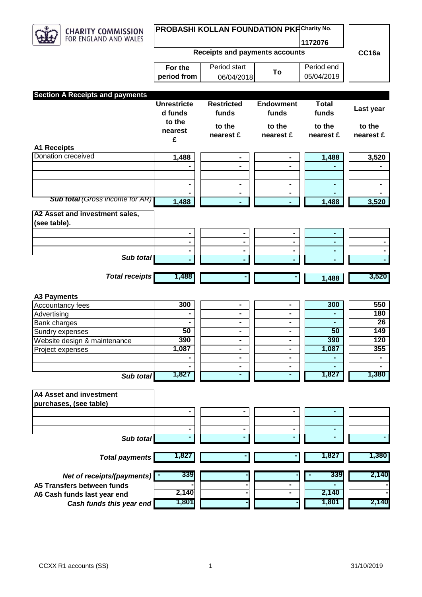

## **PROBASHI KOLLAN FOUNDATION PKF Charity No.**

**1172076**

 $\begin{array}{|c|c|c|}\n\hline\n\text{To} & \text{p} & \text{p} \\
\hline\n05/04/2019 & & \text{p}\n\end{array}$ 

**Receipts and payments accounts**

| For the     | Period start |    |
|-------------|--------------|----|
| period from | 06/04/2018   | Тο |

Period end

**CC16a**

| <b>Section A Receipts and payments</b> |                               |                            |                              |                       |                     |
|----------------------------------------|-------------------------------|----------------------------|------------------------------|-----------------------|---------------------|
|                                        | <b>Unrestricte</b><br>d funds | <b>Restricted</b><br>funds | <b>Endowment</b><br>funds    | <b>Total</b><br>funds | Last year           |
|                                        | to the                        |                            |                              |                       |                     |
|                                        | nearest                       | to the<br>nearest £        | to the<br>nearest £          | to the<br>nearest £   | to the<br>nearest £ |
| <b>A1 Receipts</b>                     | £                             |                            |                              |                       |                     |
| <b>Donation creceived</b>              |                               |                            |                              |                       |                     |
|                                        | 1,488                         | -                          |                              | 1,488                 | 3,520               |
|                                        |                               | $\blacksquare$             |                              |                       |                     |
|                                        |                               |                            |                              |                       |                     |
|                                        |                               | $\blacksquare$             | ۰                            | -                     | $\blacksquare$      |
| <b>Sub total (Gross income for AR)</b> | 1,488                         | -                          |                              | 1,488                 | 3,520               |
| A2 Asset and investment sales,         |                               |                            |                              |                       |                     |
| (see table).                           |                               |                            |                              |                       |                     |
|                                        | $\blacksquare$                |                            |                              |                       |                     |
|                                        |                               | $\blacksquare$             | $\qquad \qquad \blacksquare$ |                       |                     |
|                                        |                               |                            |                              |                       |                     |
| <b>Sub total</b>                       |                               |                            |                              |                       |                     |
| <b>Total receipts</b>                  | 1,488                         |                            |                              | 1,488                 | 3,520               |
|                                        |                               |                            |                              |                       |                     |
| <b>A3 Payments</b>                     |                               |                            |                              |                       |                     |
| Accountancy fees                       | 300                           | $\blacksquare$             | -                            | 300                   | 550                 |
| Advertising                            |                               | ۰                          | Ξ.                           |                       | 180                 |
| <b>Bank charges</b>                    |                               | -                          | Ξ.                           |                       | $\overline{26}$     |
| Sundry expenses                        | 50                            | $\blacksquare$             |                              | 50                    | 149                 |
| Website design & maintenance           | 390                           | $\blacksquare$             | -                            | 390                   | 120                 |
| Project expenses                       | 1,087                         | ۰                          | -                            | 1,087                 | 355                 |
|                                        |                               | $\blacksquare$             | $\blacksquare$               | $\blacksquare$        | $\blacksquare$      |
|                                        |                               | $\blacksquare$             | $\blacksquare$               |                       |                     |
| Sub total                              | 1,827                         | ٠                          | ٠                            | 1,827                 | 1,380               |
|                                        |                               |                            |                              |                       |                     |
| <b>A4 Asset and investment</b>         |                               |                            |                              |                       |                     |
| purchases, (see table)                 |                               |                            |                              |                       |                     |
|                                        |                               |                            |                              |                       |                     |
|                                        |                               |                            |                              |                       |                     |
|                                        |                               |                            |                              |                       |                     |
| Sub total                              |                               |                            |                              |                       |                     |
| <b>Total payments</b>                  | 1,827                         |                            |                              | 1,827                 | 1,380               |
|                                        |                               |                            |                              |                       |                     |
| Net of receipts/(payments)             | 339                           |                            |                              | 339                   | 2,140               |
| A5 Transfers between funds             |                               |                            |                              |                       |                     |
| A6 Cash funds last year end            | 2,140                         |                            |                              | 2,140                 |                     |
| Cash funds this year end               | 1,801                         |                            |                              | 1,801                 | 2,140               |